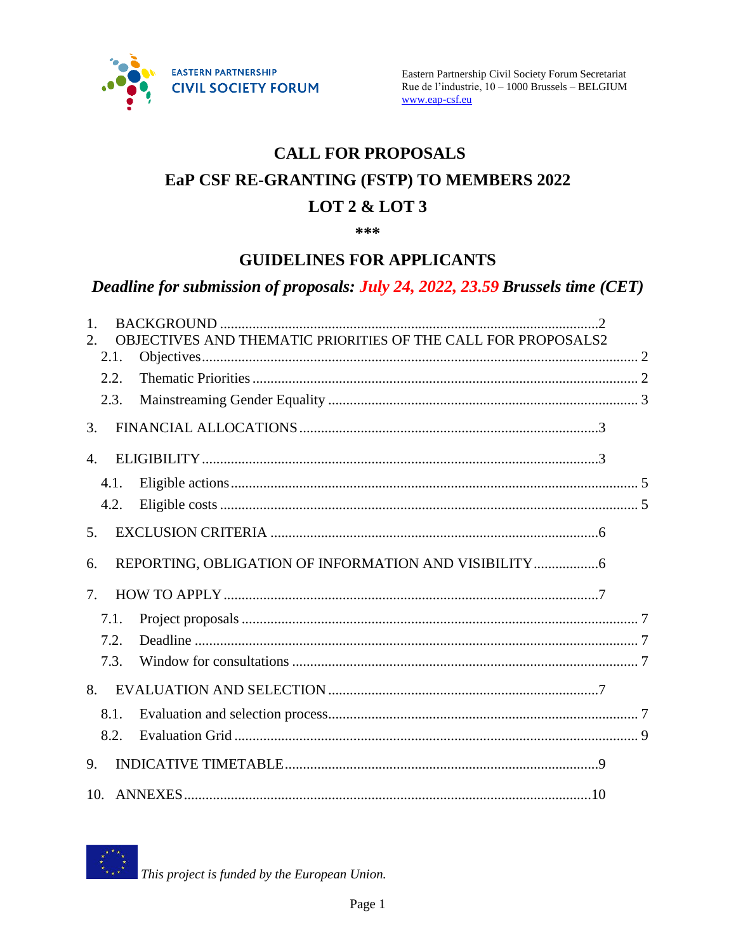

# **CALL FOR PROPOSALS** EaP CSF RE-GRANTING (FSTP) TO MEMBERS 2022 LOT  $2 &$  LOT  $3$

\*\*\*

# **GUIDELINES FOR APPLICANTS**

# Deadline for submission of proposals: July 24, 2022, 23.59 Brussels time (CET)

| $\mathbf{1}$ . |      |                                                               |  |
|----------------|------|---------------------------------------------------------------|--|
|                |      | OBJECTIVES AND THEMATIC PRIORITIES OF THE CALL FOR PROPOSALS2 |  |
|                | 2.1. |                                                               |  |
|                | 2.2. |                                                               |  |
|                | 2.3. |                                                               |  |
| 3.             |      |                                                               |  |
| $\mathbf{4}$ . |      |                                                               |  |
|                | 4.1. |                                                               |  |
|                | 4.2. |                                                               |  |
| 5.             |      |                                                               |  |
| 6.             |      |                                                               |  |
| $7_{\cdot}$    |      |                                                               |  |
|                | 7.1. |                                                               |  |
|                | 7.2. |                                                               |  |
|                | 7.3. |                                                               |  |
| 8.             |      |                                                               |  |
|                | 8.1. |                                                               |  |
|                | 8.2. |                                                               |  |
| 9.             |      |                                                               |  |
|                |      |                                                               |  |



This project is funded by the European Union.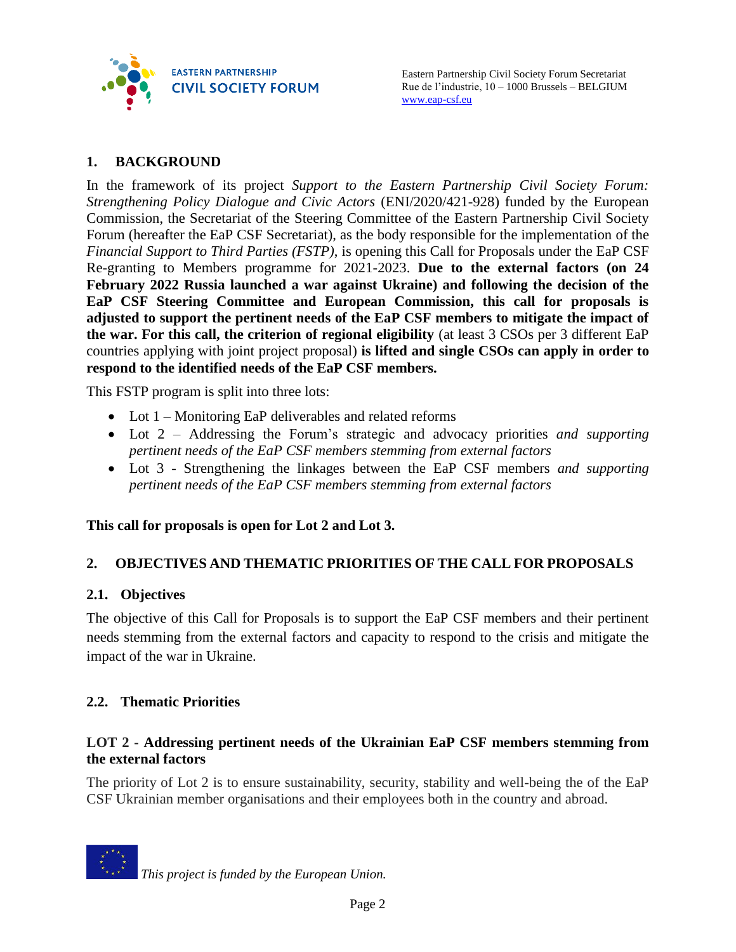

# <span id="page-1-0"></span>**1. BACKGROUND**

In the framework of its project *Support to the Eastern Partnership Civil Society Forum: Strengthening Policy Dialogue and Civic Actors* (ENI/2020/421-928) funded by the European Commission, the Secretariat of the Steering Committee of the Eastern Partnership Civil Society Forum (hereafter the EaP CSF Secretariat), as the body responsible for the implementation of the *Financial Support to Third Parties (FSTP)*, is opening this Call for Proposals under the EaP CSF Re-granting to Members programme for 2021-2023. **Due to the external factors (on 24 February 2022 Russia launched a war against Ukraine) and following the decision of the EaP CSF Steering Committee and European Commission, this call for proposals is adjusted to support the pertinent needs of the EaP CSF members to mitigate the impact of the war. For this call, the criterion of regional eligibility** (at least 3 CSOs per 3 different EaP countries applying with joint project proposal) **is lifted and single CSOs can apply in order to respond to the identified needs of the EaP CSF members.**

This FSTP program is split into three lots:

- Lot 1 Monitoring EaP deliverables and related reforms
- Lot 2 Addressing the Forum's strategic and advocacy priorities *and supporting pertinent needs of the EaP CSF members stemming from external factors*
- Lot 3 Strengthening the linkages between the EaP CSF members *and supporting pertinent needs of the EaP CSF members stemming from external factors*

**This call for proposals is open for Lot 2 and Lot 3.**

#### <span id="page-1-1"></span>**2. OBJECTIVES AND THEMATIC PRIORITIES OF THE CALL FOR PROPOSALS**

#### <span id="page-1-2"></span>**2.1. Objectives**

The objective of this Call for Proposals is to support the EaP CSF members and their pertinent needs stemming from the external factors and capacity to respond to the crisis and mitigate the impact of the war in Ukraine.

#### <span id="page-1-3"></span>**2.2. Thematic Priorities**

#### **LOT 2 - Addressing pertinent needs of the Ukrainian EaP CSF members stemming from the external factors**

The priority of Lot 2 is to ensure sustainability, security, stability and well-being the of the EaP CSF Ukrainian member organisations and their employees both in the country and abroad.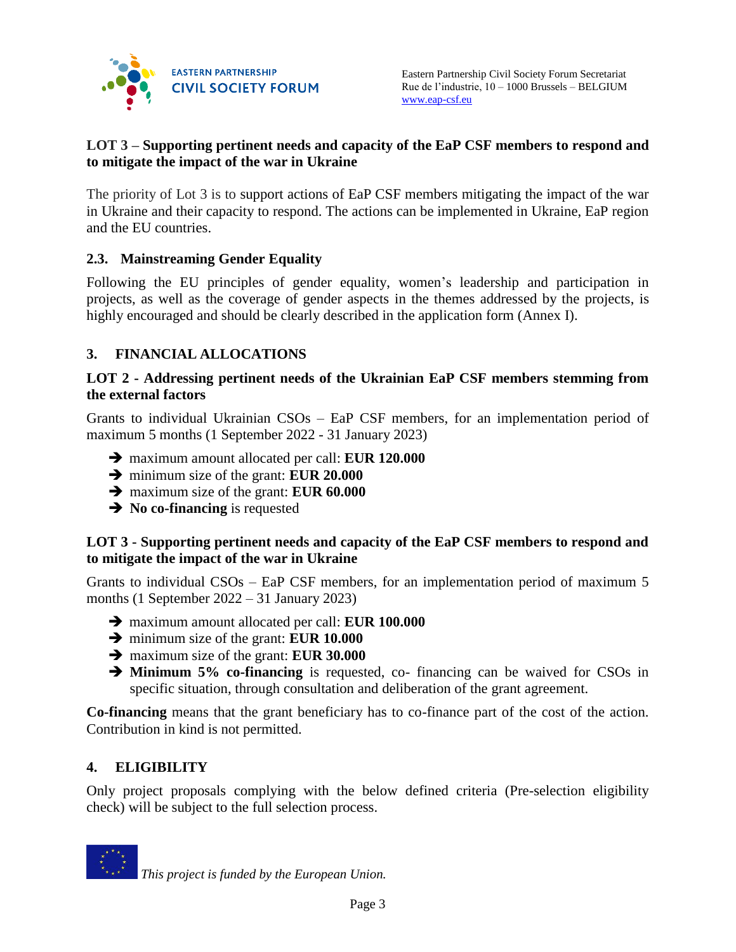

#### **LOT 3 – Supporting pertinent needs and capacity of the EaP CSF members to respond and to mitigate the impact of the war in Ukraine**

The priority of Lot 3 is to support actions of EaP CSF members mitigating the impact of the war in Ukraine and their capacity to respond. The actions can be implemented in Ukraine, EaP region and the EU countries.

# <span id="page-2-0"></span>**2.3. Mainstreaming Gender Equality**

Following the EU principles of gender equality, women's leadership and participation in projects, as well as the coverage of gender aspects in the themes addressed by the projects, is highly encouraged and should be clearly described in the application form (Annex I).

# <span id="page-2-1"></span>**3. FINANCIAL ALLOCATIONS**

#### **LOT 2 - Addressing pertinent needs of the Ukrainian EaP CSF members stemming from the external factors**

Grants to individual Ukrainian CSOs – EaP CSF members, for an implementation period of maximum 5 months (1 September 2022 - 31 January 2023)

- maximum amount allocated per call: **EUR 120.000**
- minimum size of the grant: **EUR 20.000**
- maximum size of the grant: **EUR 60.000**
- **→** No **co-financing** is requested

#### **LOT 3 - Supporting pertinent needs and capacity of the EaP CSF members to respond and to mitigate the impact of the war in Ukraine**

Grants to individual CSOs – EaP CSF members, for an implementation period of maximum 5 months (1 September 2022 – 31 January 2023)

- maximum amount allocated per call: **EUR 100.000**
- minimum size of the grant: **EUR 10.000**
- maximum size of the grant: **EUR 30.000**
- <span id="page-2-2"></span> **Minimum 5% co-financing** is requested, co- financing can be waived for CSOs in specific situation, through consultation and deliberation of the grant agreement.

**Co-financing** means that the grant beneficiary has to co-finance part of the cost of the action. Contribution in kind is not permitted.

#### **4. ELIGIBILITY**

Only project proposals complying with the below defined criteria (Pre-selection eligibility check) will be subject to the full selection process.

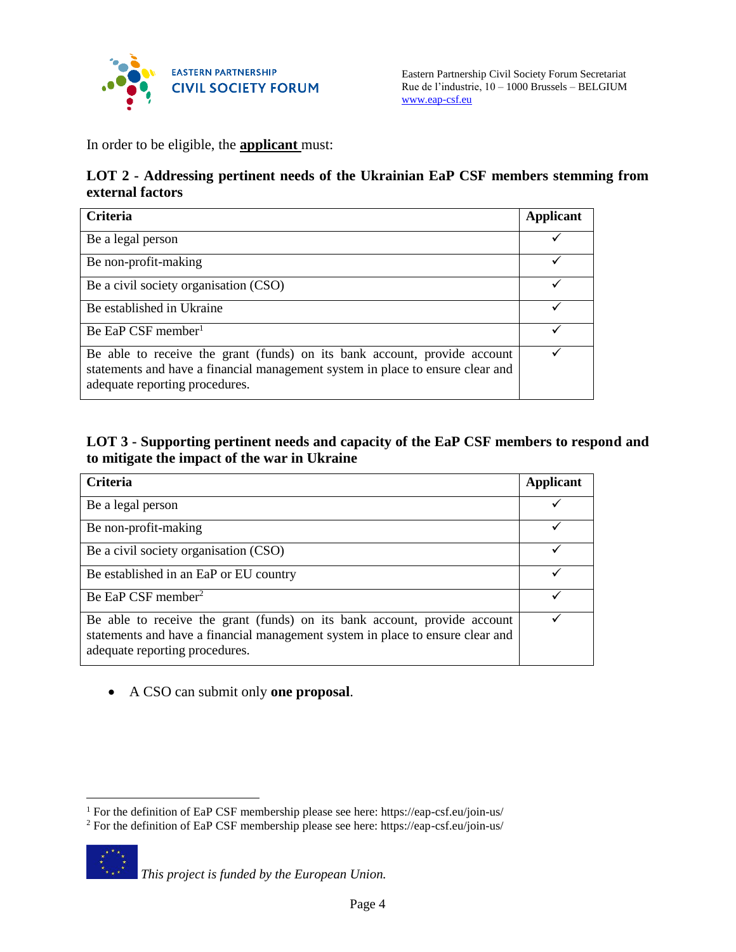

Eastern Partnership Civil Society Forum Secretariat Rue de l'industrie, 10 – 1000 Brussels – BELGIUM [www.eap-csf.eu](http://www.eap-csf.eu/)

In order to be eligible, the **applicant** must:

#### **LOT 2 - Addressing pertinent needs of the Ukrainian EaP CSF members stemming from external factors**

| <b>Criteria</b>                                                                                                                                                                               | <b>Applicant</b> |
|-----------------------------------------------------------------------------------------------------------------------------------------------------------------------------------------------|------------------|
| Be a legal person                                                                                                                                                                             |                  |
| Be non-profit-making                                                                                                                                                                          |                  |
| Be a civil society organisation (CSO)                                                                                                                                                         |                  |
| Be established in Ukraine                                                                                                                                                                     |                  |
| Be EaP CSF member <sup>1</sup>                                                                                                                                                                |                  |
| Be able to receive the grant (funds) on its bank account, provide account<br>statements and have a financial management system in place to ensure clear and<br>adequate reporting procedures. |                  |

#### **LOT 3 - Supporting pertinent needs and capacity of the EaP CSF members to respond and to mitigate the impact of the war in Ukraine**

| <b>Criteria</b>                                                                                                                                                                               | <b>Applicant</b> |
|-----------------------------------------------------------------------------------------------------------------------------------------------------------------------------------------------|------------------|
| Be a legal person                                                                                                                                                                             |                  |
| Be non-profit-making                                                                                                                                                                          |                  |
| Be a civil society organisation (CSO)                                                                                                                                                         |                  |
| Be established in an EaP or EU country                                                                                                                                                        |                  |
| Be EaP CSF member <sup>2</sup>                                                                                                                                                                |                  |
| Be able to receive the grant (funds) on its bank account, provide account<br>statements and have a financial management system in place to ensure clear and<br>adequate reporting procedures. |                  |

#### A CSO can submit only **one proposal**.

<sup>2</sup> For the definition of EaP CSF membership please see here: https://eap-csf.eu/join-us/



 $\overline{a}$ 

*This project is funded by the European Union.* 

<sup>1</sup> For the definition of EaP CSF membership please see here: https://eap-csf.eu/join-us/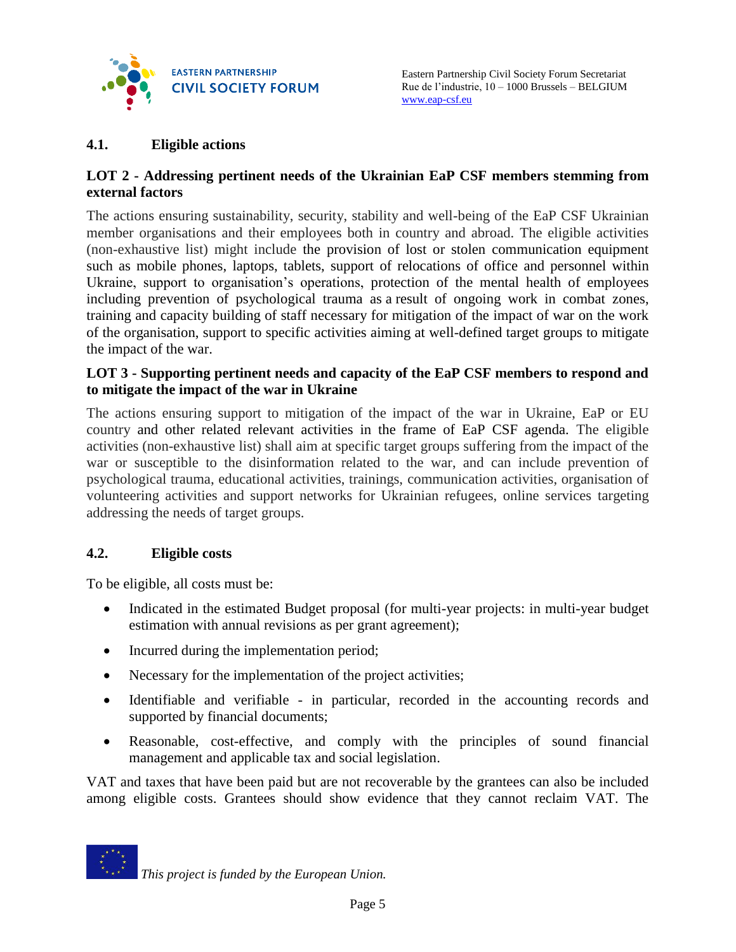

#### <span id="page-4-0"></span>**4.1. Eligible actions**

#### **LOT 2 - Addressing pertinent needs of the Ukrainian EaP CSF members stemming from external factors**

The actions ensuring sustainability, security, stability and well-being of the EaP CSF Ukrainian member organisations and their employees both in country and abroad. The eligible activities (non-exhaustive list) might include the provision of lost or stolen communication equipment such as mobile phones, laptops, tablets, support of relocations of office and personnel within Ukraine, support to organisation's operations, protection of the mental health of employees including prevention of psychological trauma as a result of ongoing work in combat zones, training and capacity building of staff necessary for mitigation of the impact of war on the work of the organisation, support to specific activities aiming at well-defined target groups to mitigate the impact of the war.

#### **LOT 3 - Supporting pertinent needs and capacity of the EaP CSF members to respond and to mitigate the impact of the war in Ukraine**

The actions ensuring support to mitigation of the impact of the war in Ukraine, EaP or EU country and other related relevant activities in the frame of EaP CSF agenda. The eligible activities (non-exhaustive list) shall aim at specific target groups suffering from the impact of the war or susceptible to the disinformation related to the war, and can include prevention of psychological trauma, educational activities, trainings, communication activities, organisation of volunteering activities and support networks for Ukrainian refugees, online services targeting addressing the needs of target groups.

#### <span id="page-4-1"></span>**4.2. Eligible costs**

To be eligible, all costs must be:

- Indicated in the estimated Budget proposal (for multi-year projects: in multi-year budget estimation with annual revisions as per grant agreement);
- Incurred during the implementation period;
- Necessary for the implementation of the project activities;
- Identifiable and verifiable in particular, recorded in the accounting records and supported by financial documents;
- Reasonable, cost-effective, and comply with the principles of sound financial management and applicable tax and social legislation.

VAT and taxes that have been paid but are not recoverable by the grantees can also be included among eligible costs. Grantees should show evidence that they cannot reclaim VAT. The

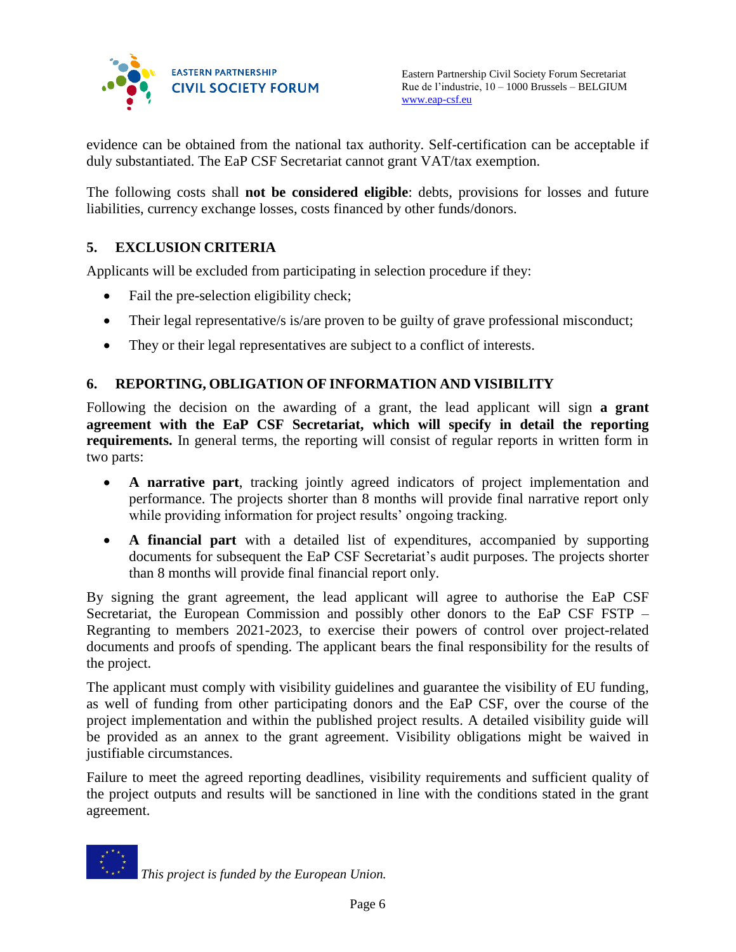

Eastern Partnership Civil Society Forum Secretariat Rue de l'industrie, 10 – 1000 Brussels – BELGIUM [www.eap-csf.eu](http://www.eap-csf.eu/)

evidence can be obtained from the national tax authority. Self-certification can be acceptable if duly substantiated. The EaP CSF Secretariat cannot grant VAT/tax exemption.

The following costs shall **not be considered eligible**: debts, provisions for losses and future liabilities, currency exchange losses, costs financed by other funds/donors.

#### <span id="page-5-0"></span>**5. EXCLUSION CRITERIA**

Applicants will be excluded from participating in selection procedure if they:

- Fail the pre-selection eligibility check;
- Their legal representative/s is/are proven to be guilty of grave professional misconduct;
- They or their legal representatives are subject to a conflict of interests.

#### <span id="page-5-1"></span>**6. REPORTING, OBLIGATION OF INFORMATION AND VISIBILITY**

Following the decision on the awarding of a grant, the lead applicant will sign **a grant agreement with the EaP CSF Secretariat, which will specify in detail the reporting requirements.** In general terms, the reporting will consist of regular reports in written form in two parts:

- **A narrative part**, tracking jointly agreed indicators of project implementation and performance. The projects shorter than 8 months will provide final narrative report only while providing information for project results' ongoing tracking.
- **A financial part** with a detailed list of expenditures, accompanied by supporting documents for subsequent the EaP CSF Secretariat's audit purposes. The projects shorter than 8 months will provide final financial report only.

By signing the grant agreement, the lead applicant will agree to authorise the EaP CSF Secretariat, the European Commission and possibly other donors to the EaP CSF FSTP – Regranting to members 2021-2023, to exercise their powers of control over project-related documents and proofs of spending. The applicant bears the final responsibility for the results of the project.

The applicant must comply with visibility guidelines and guarantee the visibility of EU funding, as well of funding from other participating donors and the EaP CSF, over the course of the project implementation and within the published project results. A detailed visibility guide will be provided as an annex to the grant agreement. Visibility obligations might be waived in justifiable circumstances.

Failure to meet the agreed reporting deadlines, visibility requirements and sufficient quality of the project outputs and results will be sanctioned in line with the conditions stated in the grant agreement.

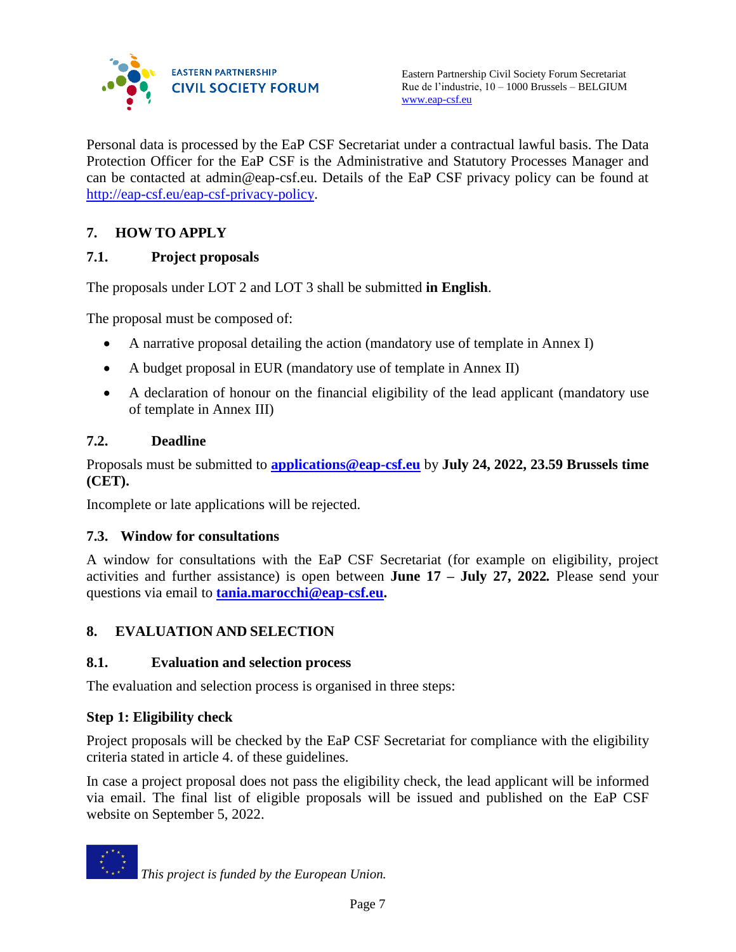

Personal data is processed by the EaP CSF Secretariat under a contractual lawful basis. The Data Protection Officer for the EaP CSF is the Administrative and Statutory Processes Manager and can be contacted at admin@eap-csf.eu. Details of the EaP CSF privacy policy can be found at [http://eap-csf.eu/eap-csf-privacy-policy.](http://eap-csf.eu/eap-csf-privacy-policy/)

# <span id="page-6-0"></span>**7. HOW TO APPLY**

# <span id="page-6-1"></span>**7.1. Project proposals**

The proposals under LOT 2 and LOT 3 shall be submitted **in English**.

The proposal must be composed of:

- A narrative proposal detailing the action (mandatory use of template in Annex I)
- A budget proposal in EUR (mandatory use of template in Annex II)
- A declaration of honour on the financial eligibility of the lead applicant (mandatory use of template in Annex III)

# <span id="page-6-2"></span>**7.2. Deadline**

Proposals must be submitted to **[applications@eap-csf.eu](mailto:applications@eap-csf.eu)** by **July 24, 2022, 23.59 Brussels time (CET).**

Incomplete or late applications will be rejected.

#### <span id="page-6-3"></span>**7.3. Window for consultations**

A window for consultations with the EaP CSF Secretariat (for example on eligibility, project activities and further assistance) is open between **June 17 – July 27, 2022***.* Please send your questions via email to **[tania.marocchi@eap-csf.eu.](mailto:tania.marocchi@eap-csf.eu)**

# <span id="page-6-4"></span>**8. EVALUATION AND SELECTION**

#### <span id="page-6-5"></span>**8.1. Evaluation and selection process**

The evaluation and selection process is organised in three steps:

#### **Step 1: Eligibility check**

Project proposals will be checked by the EaP CSF Secretariat for compliance with the eligibility criteria stated in article 4. of these guidelines.

In case a project proposal does not pass the eligibility check, the lead applicant will be informed via email. The final list of eligible proposals will be issued and published on the EaP CSF website on September 5, 2022.

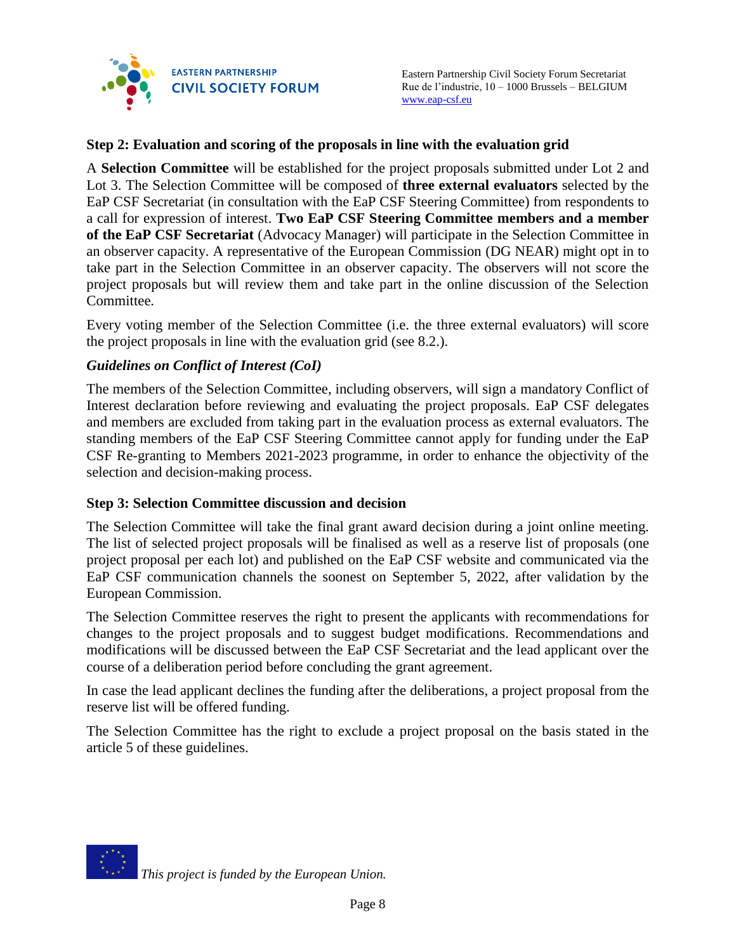

#### **Step 2: Evaluation and scoring of the proposals in line with the evaluation grid**

A **Selection Committee** will be established for the project proposals submitted under Lot 2 and Lot 3. The Selection Committee will be composed of **three external evaluators** selected by the EaP CSF Secretariat (in consultation with the EaP CSF Steering Committee) from respondents to a call for expression of interest. **Two EaP CSF Steering Committee members and a member of the EaP CSF Secretariat** (Advocacy Manager) will participate in the Selection Committee in an observer capacity. A representative of the European Commission (DG NEAR) might opt in to take part in the Selection Committee in an observer capacity. The observers will not score the project proposals but will review them and take part in the online discussion of the Selection Committee.

Every voting member of the Selection Committee (i.e. the three external evaluators) will score the project proposals in line with the evaluation grid (see 8.2.).

#### *Guidelines on Conflict of Interest (CoI)*

The members of the Selection Committee, including observers, will sign a mandatory Conflict of Interest declaration before reviewing and evaluating the project proposals. EaP CSF delegates and members are excluded from taking part in the evaluation process as external evaluators. The standing members of the EaP CSF Steering Committee cannot apply for funding under the EaP CSF Re-granting to Members 2021-2023 programme, in order to enhance the objectivity of the selection and decision-making process.

#### **Step 3: Selection Committee discussion and decision**

The Selection Committee will take the final grant award decision during a joint online meeting. The list of selected project proposals will be finalised as well as a reserve list of proposals (one project proposal per each lot) and published on the EaP CSF website and communicated via the EaP CSF communication channels the soonest on September 5, 2022, after validation by the European Commission.

The Selection Committee reserves the right to present the applicants with recommendations for changes to the project proposals and to suggest budget modifications. Recommendations and modifications will be discussed between the EaP CSF Secretariat and the lead applicant over the course of a deliberation period before concluding the grant agreement.

In case the lead applicant declines the funding after the deliberations, a project proposal from the reserve list will be offered funding.

The Selection Committee has the right to exclude a project proposal on the basis stated in the article 5 of these guidelines.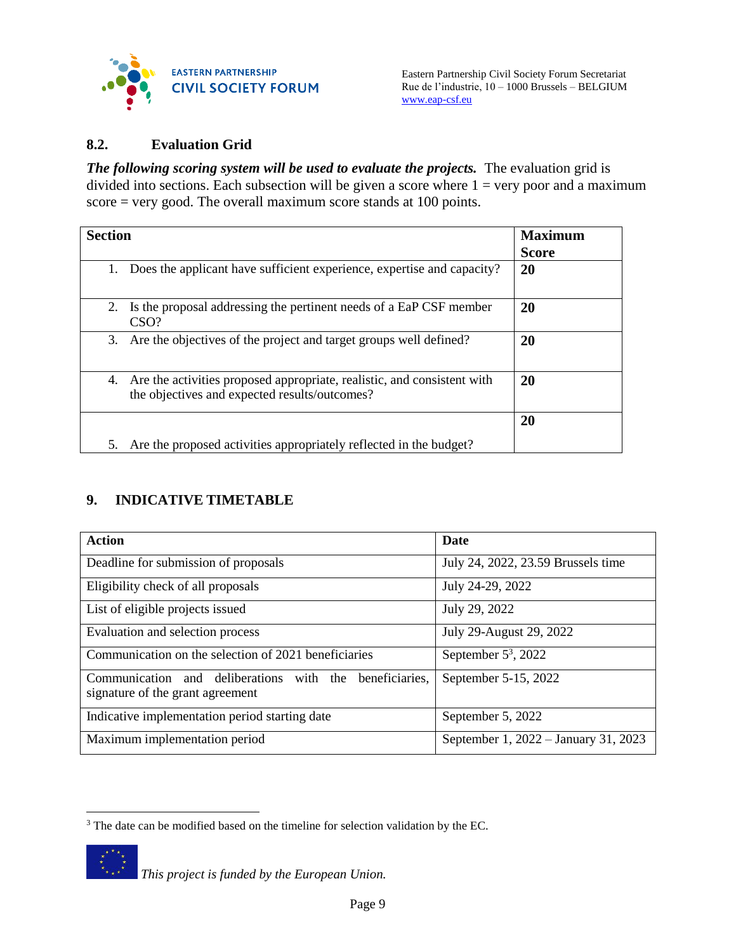

#### <span id="page-8-0"></span>**8.2. Evaluation Grid**

**The following scoring system will be used to evaluate the projects.** The evaluation grid is divided into sections. Each subsection will be given a score where  $1 = \text{very poor and a maximum}$ score = very good. The overall maximum score stands at 100 points.

| <b>Section</b>                                                                                                                 | <b>Maximum</b><br><b>Score</b> |
|--------------------------------------------------------------------------------------------------------------------------------|--------------------------------|
| Does the applicant have sufficient experience, expertise and capacity?<br>1.                                                   | 20                             |
| Is the proposal addressing the pertinent needs of a EaP CSF member<br>2.<br>CSO?                                               | 20                             |
| Are the objectives of the project and target groups well defined?<br>3.                                                        | 20                             |
| Are the activities proposed appropriate, realistic, and consistent with<br>4.<br>the objectives and expected results/outcomes? | 20                             |
|                                                                                                                                | 20                             |
| Are the proposed activities appropriately reflected in the budget?<br>5.                                                       |                                |

# <span id="page-8-1"></span>**9. INDICATIVE TIMETABLE**

| <b>Action</b>                                                                               | <b>Date</b>                          |
|---------------------------------------------------------------------------------------------|--------------------------------------|
| Deadline for submission of proposals                                                        | July 24, 2022, 23.59 Brussels time   |
| Eligibility check of all proposals                                                          | July 24-29, 2022                     |
| List of eligible projects issued                                                            | July 29, 2022                        |
| Evaluation and selection process                                                            | July 29-August 29, 2022              |
| Communication on the selection of 2021 beneficiaries                                        | September $5^3$ , 2022               |
| Communication and deliberations with the beneficiaries,<br>signature of the grant agreement | September 5-15, 2022                 |
| Indicative implementation period starting date                                              | September 5, 2022                    |
| Maximum implementation period                                                               | September 1, 2022 – January 31, 2023 |

 $\overline{a}$ <sup>3</sup> The date can be modified based on the timeline for selection validation by the EC.